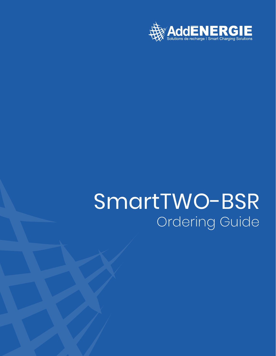

# SmartTWO-BSR Ordering Guide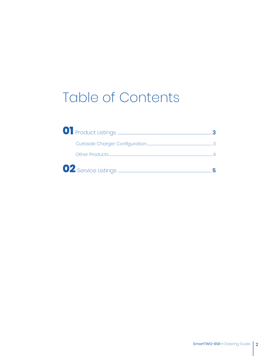## **Table of Contents**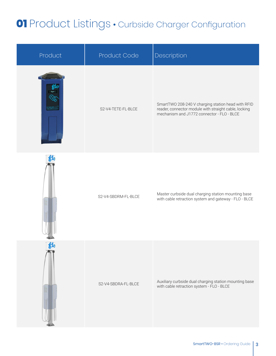#### **01** Product Listings • Curbside Charger Configuration

| Product                 | Product Code        | Description                                                                                                                                               |
|-------------------------|---------------------|-----------------------------------------------------------------------------------------------------------------------------------------------------------|
|                         | S2-V4-TETE-FL-BLCE  | SmartTWO 208-240 V charging station head with RFID<br>reader, connector module with straight cable, locking<br>mechanism and J1772 connector - FLO - BLCE |
| $\mathbf{g}_\mathbf{b}$ | S2-V4-SBDRM-FL-BLCE | Master curbside dual charging station mounting base<br>with cable retraction system and gateway - FLO - BLCE                                              |
| f                       | S2-V4-SBDRA-FL-BLCE | Auxiliary curbside dual charging station mounting base<br>with cable retraction system - FLO - BLCE                                                       |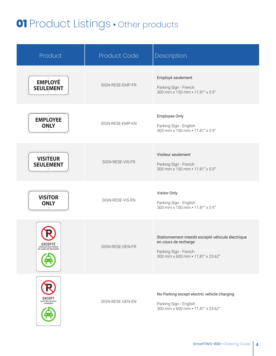#### **01** Product Listings • Other products

| Product                                                       | Product Code     | Description                                                                                                                              |
|---------------------------------------------------------------|------------------|------------------------------------------------------------------------------------------------------------------------------------------|
| <b>EMPLOYÉ</b><br><b>SEULEMENT</b><br>$\circ$                 | SIGN-RESE-EMP-FR | Employé seulement<br>Parking Sign - French<br>300 mm x 150 mm · 11.81" x 5.9"                                                            |
| <b>EMPLOYEE</b><br><b>ONLY</b>                                | SIGN-RESE-EMP-EN | Employee Only<br>Parking Sign - English<br>300 mm x 150 mm · 11.81" x 5.9"                                                               |
| <b>VISITEUR</b><br><b>SEULEMENT</b>                           | SIGN-RESE-VIS-FR | Visiteur seulement<br>Parking Sign - French<br>300 mm x 150 mm · 11.81" x 5.9"                                                           |
| $\circ$<br><b>VISITOR</b><br><b>ONLY</b>                      | SIGN-RESE-VIS-EN | Visitor Only<br>Parking Sign - English<br>300 mm x 150 mm · 11.81" x 5.9"                                                                |
| <b>EXCEPTÉ</b><br>VÉHICULE ÉLECTRIQUE<br>EN COURS DE RECHARGE | SIGN-RESE-GEN-FR | Stationnement interdit excepté véhicule électrique<br>en cours de recharge<br>Parking Sign - French<br>300 mm x 600 mm · 11.81" x 23.62" |
| <b>EXCEPT</b><br>ELECTRIC VEHICLE<br>CHARGING                 | SIGN-RESE-GEN-EN | No Parking except electric vehicle charging<br>Parking Sign - English<br>300 mm x 600 mm · 11.81" x 23.62"                               |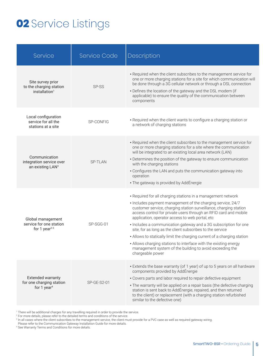#### **02** Service Listings

| Service                                                                         | <b>Service Code</b> | Description                                                                                                                                                                                                                                                                                                                                                                                                                                                                                                                                                                                                                                                                             |
|---------------------------------------------------------------------------------|---------------------|-----------------------------------------------------------------------------------------------------------------------------------------------------------------------------------------------------------------------------------------------------------------------------------------------------------------------------------------------------------------------------------------------------------------------------------------------------------------------------------------------------------------------------------------------------------------------------------------------------------------------------------------------------------------------------------------|
| Site survey prior<br>to the charging station<br>installation <sup>1</sup>       | SP-SS               | • Required when the client subscribes to the management service for<br>one or more charging stations for a site for which communication will<br>be done through a 3G cellular network or through a DSL connection<br>• Defines the location of the gateway and the DSL modem (if<br>applicable) to ensure the quality of the communication between<br>components                                                                                                                                                                                                                                                                                                                        |
| Local configuration<br>service for all the<br>stations at a site                | SP-CONFIG           | • Required when the client wants to configure a charging station or<br>a network of charging stations                                                                                                                                                                                                                                                                                                                                                                                                                                                                                                                                                                                   |
| Communication<br>integration service over<br>an existing LAN <sup>3</sup>       | SP-TLAN             | • Required when the client subscribes to the management service for<br>one or more charging stations for a site where the communication<br>will be integrated to an existing local area network (LAN)<br>• Determines the position of the gateway to ensure communication<br>with the charging stations<br>• Configures the LAN and puts the communication gateway into<br>operation<br>• The gateway is provided by AddÉnergie                                                                                                                                                                                                                                                         |
| Global management<br>service for one station<br>for 1 year <sup>2-3</sup>       | SP-SGG-01           | • Required for all charging stations in a management network<br>• Includes payment management of the charging service, 24/7<br>customer service, charging station surveillance, charging station<br>access control for private users through an RFID card and mobile<br>application, operator access to web portal, etc<br>• Includes a communication gateway and a 3G subscription for one<br>site, for as long as the client subscribes to the service<br>• Allows to statically limit the charging current of a charging station<br>• Allows charging stations to interface with the existing energy<br>management system of the building to avoid exceeding the<br>chargeable power |
| <b>Extended warranty</b><br>for one charging station<br>for 1 year <sup>4</sup> | <b>SP-GE-S2-01</b>  | • Extends the base warranty (of 1 year) of up to 5 years on all hardware<br>components provided by AddÉnergie<br>• Covers parts and labor required to repair defective equipment<br>• The warranty will be applied on a repair basis (the defective charging<br>station is sent back to AddÉnergie, repaired, and then returned<br>to the client) or replacement (with a charging station refurbished<br>similar to the defective one)                                                                                                                                                                                                                                                  |

1 There will be additional charges for any travelling required in order to provide the service.

<sup>2</sup> For more details, please refer to the detailed terms and conditions of the service.

<sup>3</sup> In all cases where the client subscribes to the management service, the client must provide for a PVC case as well as required gateway wiring.

Please refer to the Communication Gateway Installation Guide for more details.

4 See Warranty Terms and Conditions for more details.